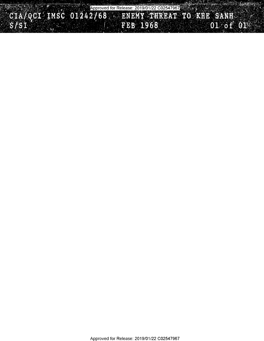for Release: 2019/01/22  $S/SI$ FEB 1968  $01$  of  $01$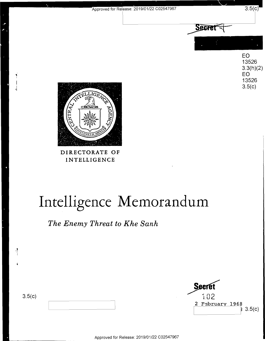

# Intelligence Memorandum Intelligence Memorandum

*The Enemy Threat to Khe Sanh*  The Enemy Threat to Khe Sanh

| ור<br>۰.<br>ľ |  |
|---------------|--|
|---------------|--|

., 'i

l,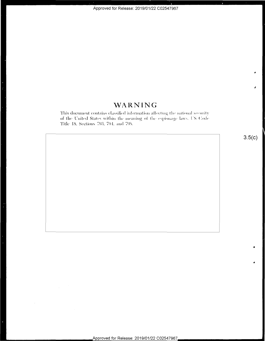## WARNING

This document contains classified information affecting the national security of the United States within the meaning of the espionage laws. US Code Title 18, Sections 793, 794, and 798.

 $3.5(c)$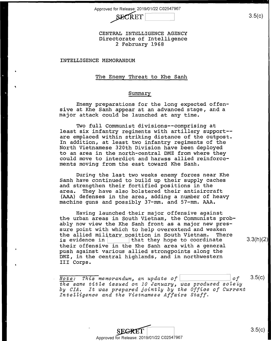

3.5(c)

CENTRAL INTELLIGENCE AGENCY CENTRAL INTELLIGENCE AGENCY Directorate of Intelligence 2 February 1968 2 February 1968

**INTELLIGENCE MEMORANDUM**  INTELLIGENCE MEMORANDUM

## The Enemy Threat to Khe Sanh The Enemy Threat to Khe Sanh

#### summary Summary

Enemy preparations for the long expected offen-Enemy preparations for the long expected offensive at Khe Sanh appear at an advanced stage, and a sive at Khe Sanh appear at an advanced stage, and <sup>a</sup> major attack could be launched at any time. major attack could be launched at any time.

Two full Communist divisions--comprising at least six infantry regiments with artillery support-- least six infantry regiments with artillery support— are emplaced within striking distance of the outpost. are emplaced within striking distance ofthe outpost. In addition, at least two infantry regiments of the In addition, at least two infantry regiments of the North Vietnamese 320th Division have been deployed North Vietnamese 320th Division have been deployed to an area in the north-central DMZ from where they to an area in the north-central DMZ from where they could move to interdict and harass allied reinforce-could move to interdict and harass allied reinforcements moving from the east toward Khe Sanh. ments moving from the east toward Khe Sanh.

During the last two weeks enemy forces near Khe During the last two weeks enemy forces near Khe Sanh have continued to build up their supply caches Sanh have continued to build up their supply caches and strengthen their fortified positions in the and strengthen their fortified positions in the area. They have also bolstered their antiaircraft area. They have also bolstered their antiaircraft (AAA) defenses in the area, adding a number of heavy (AAA) defenses in the area, adding <sup>a</sup> number of heavy machine guns and possibly 37-mrn. and 57-mm. AAA. machine guns and possibly 37—mm. and 57—mm. AAA.

Having launched-their major offensive against Having launched their major offensive against the urban areas in South Vietnam, the Communists probably now view the Khe Sanh front as a major new pres-ably now view the Khe Sanh front as <sup>a</sup> major new pres sure point with which to help overextend and weaken sure point with which to help overextend and weaken The allied military position in South Vietnam. There is evidence in that they hope to coordinate 3.3(h)(2) their offensive in the Khe Sanh area with a general their offensive in the Khe Sanh area with <sup>a</sup> general push against va~ious allied strongpoints along the push against various allied strongpoints along the **DMZ,** in the central highlands, and in northwestern DMZ, in the central highlands, and in northwestern III **Corps.**  III Corps.

**Note:** This memorandum, an update of <u>state of</u> 3.5(c) *the same title issued on 10 January, was produced soleiy*  the same title issued on 10 January, was produced solely *by CIA. It was prepared jointly by the Office of Current*  by CIA. It was prepared jointly by the Office of Current *IntelZigence and the Vietnamese Affairs Staff.*  Intelligence and the Vietnamese Affairs Staff.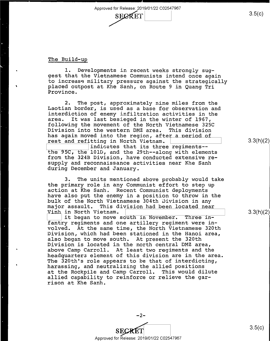SECKET

—-———\_

The Build-up

\*

1. Developments in recent weeks strongly sug-. l. Developments in recent weeks strongly sug gest that the Vietnamese Communists intend once again gest that the Vietnamese Communists intend once again to increase military pressure against the strategically placed outpost at Khe Sanh, on Route 9 in Quang Tri placed outpost at Khe Sanh, on Route <sup>9</sup> in Quang Tri Province. Province.

> 2. The post, approximately nine miles from the 2. The post, approximately nine miles from the Laotian border, is used as a base for observation and Laotian border, is used as <sup>a</sup> base for observation and interdiction of enemy infiltration activities in the interdiction of enemy infiltration activities in the area. It was last besieged in the winter of 1967, area. It was last besieged in the winter of 1967, following the movement of the North Vietnamese 325C following the movement of the North Vietnamese 325C Division into the western DMZ area. This division Division into the western DMZ area. This division has again moved into the region, after a period of<br>rest and refitting in North Vietnam.<br>indicates that its three periments and state indicates in the regiments rest and refitting in North Vietnam.

Indicates that its three regiments-the 95C, the 101D, and the 29th--along with elements the 95C, the 101D, and the 29th—-along with elements from the 324B Division, have conducted extensive re-from the 324B Division, have conducted extensive resupply and reconnaissance activities near Khe Sanh supply and reconnaissance activities near Khe Sanh during December and January. during December and January.

3. The units mentioned above probably would take 3. The units mentioned above probably would take the primary role in any Communist effort to step up the primary role in any Communist effort to step up action at Khe Sanh .. Recent Communist deployments action at Khe Sanh. Recent Communist deployments have also put the enemy in a position to throw in the have also put the enemy in <sup>a</sup> position to throw in the bulk of the North Vietnamese 304th Jivision in any bulk of the North Vietnamese 304th Division in any major assault. This division had been located near<br>Vinh in North Vietnam.<br>It began to move south in November. Three in-Vinh in North Vietnam.

fantry regiments and one artillery regiment were in-fantry regiments and one artillery regiment were involved. At the same time, the North Vietnamese 320th volved. At the same time, the North Vietnamese 320th Division, which had been stationed in the Hanoi area, Division, which had been stationed in the Hanoi area, also began to move south. At present the 320th also began to move south. At present the 320th Division is located in the north central DMZ area, Division is located in the north central DMZ area, above Camp Carroll. At least two regiments and the above Camp Carroll. At least two regiments and the headquarter3 element of this division are in the area. headquarters element of this division are in the area. The 320th's role appears to be that of interdicting, The 320th's role appears to be that of interdicting, harassing, and neutralizing the allied positions harassing, and neutralizing the allied positions at the Rockpile and Camp Carroll. This would dilute at the Rockpile and Camp Carroll. This would dilute allied capability to reinforce or relieve the gar-allied capability to reinforce or relieve the gar rison at Khe Sanh. rison at Khe Sanh. it began to move south in November. Three in-



3.3(h)(2)

 $3.3(h)(2)$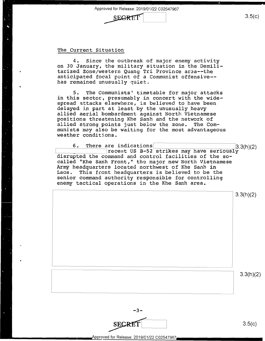

## The Current Situation

4. Since the outbreak of major enemy activity 4. Since the outbreak of major enemy activity on 30 January, the military situation in the Demili-on 30 January, the military situation in the Demilitarized Zone/western Quang Tri Province area--the anticipated focal point of a Communist offensive-- anticipated focal point of <sup>a</sup> Communist offensive— mener pared rooms permaner and conditions

5. The Communists' timetable for major attacks 5. The Communists' timetable for major attacks in this sector, presumably in concert with the wide-in this sector, presumably in concert with the widespread attacks elsewhere, is believed to have been spread attacks elsewhere, is believed to have been delayed in part at least by the unusually heavy delayed in part at least by the unusually heavy allied aerial bombardment against North Vietnamese allied aerial bombardment against North Vietnamese positions threatening Khe Sanh and the network of positions threatening Khe Sanh and the network of allied strong points just below the zone. The Com-allied strong points just below the zone. The Communists may also be waiting for the most advantageous munists may also be waiting for the most advantageous weather conditions. weather conditions.

6. There are indications 3.3(h)(2) b. There are indications<br>
recent US B-52 strikes may have seriously<br>
The contract of the seriously disrupted the command and control facilities of the so-disrupted the command and control facilities of the socalled "Khe Sanh Front," the major new North Vietnamese Army headquarters located northwest of Khe Sanh in Army headquarters located northwest of Khe Sanh in Laos. This front headquarters is believed to be the Laos. This front headquarters is believed to be the senior command authority responsible for controlling senior command authority responsible for controlling enemy tactical operations in the Khe Sanh area. enemy tactical operations in the Khe Sanh area.

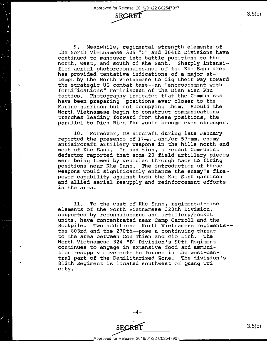SECRET

9. Meanwhile, regimental strength elements of 9. Meanwhile, regimental strength elements of the North Vietnamese 325 "C" and 304th Divisions have the North Vietnamese 325 "C" and 304th Divisions have continued to maneuver into battle positions to the continued to maneuver into battle positions to the north, west, and south of Khe Sanh. Sharply intensi-north, west, and south of Khe Sanh. Sharply intensified aerial photoreconnaissance of the Khe Sanh area fied aerial photoreconnaissance ofthe Khe Sanh area has provided tentative indications of a major at-has provided tentative indications of <sup>a</sup> major at tempt by the North Vietnamese to dig their way toward tempt by the North Vietnamese to dig their way toward the strategic US combat base--an "encroachment with the strategic US combat base--an "encroachment with fortifications" reminiscent of the Dien Bien Phu fortifications" reminiscent of the Dien Bien Phu tactics. Photography indicates that the Communists tactics. PhotOgraphy indicates that the Communists have been preparing positions ever closer to the have been preparing positions ever closer to the<br>Marine garrison but not occupying them. Should the North Vietnamese begin to construct communications North Vietnamese begin to construct communications trenches leading forward from these positions, the trenches leading forward from these positions, the parallel to Dien Bien Phu would become even stronger. parallel to Dien Bien Phu would become even stronger. Marine garrison but not occupying them. Should the

10. Moreover, US aircraft during late January reported the presence of 37-mm. and/or 57-mm. enemy antiaircraft artillery weapons in the hills north and antiaircraft artillery weapons in the hills north and west of Khe Sanh. In addition, a recent Communist west of Khe Sanh. In addition, <sup>a</sup> recent Communist defector reported that some 20 field artillery pieces defector reported that some 20 field artillery pieces were being towed by vehicles through Laos to firing were being towed by vehicles through Laos to firing positions near Khe Sanh. The introduction of these positions near Khe Sanh. The introduction of these weapons would significantly enhance the enemy's fire-weapons would significantly enhance the enemy's firepower capability against both the Khe Sanh garrison power capability against both the Khe Sanh garrison and allied aerial resupply and reinforcement efforts and allied aerial resupply and reinforcement efforts in the area. in the area.

11. To the east of Khe Sanh, regimental-size ll. To the east of Khe Sanh, regimental-size elements of the North Vietnamese 320th Division, elements of the North Vietnamese 320th Division, supported by reconnaissance and artillery/rocket supported by reconnaissance and artillery/rocket units, have concentrated near Camp Carroll and the units, have concentrated near Camp Carroll and the Rockpile. Two additional North Vietnamese regiments-- Rockpile. Two additional.North Vietnamese regiments- the 803rd and the 270th--pose a continuing threat the 803rd and the 270th--pose <sup>a</sup> continuing threat to the area between Con Thien and Gio Linh. The to the area between Con Thien and Gio Linh. The North Vietnamese 324 "B" Division's 90th Regiment North Vietnamese 324 "B" Division's 90th Regiment continues to engage in extensive food and ammuni-continues to engage in extensive food and ammunition resupply movements to forces in the west-cen-tion resupply movements to forces in the west-cen tral part of the Demilitarized Zone. The division's tral part of the Demilitarized Zone. The division's 812th Regiment is located southwest of Quang Tri 812th Regiment is located southwest of Quang Tri city. city.

 $SECRET$  3.5(c)

-4-

 $-4-$ 

Approved for Release: 2019/01/22 C02547967 Approved for Release: 2019/01/22 C02547967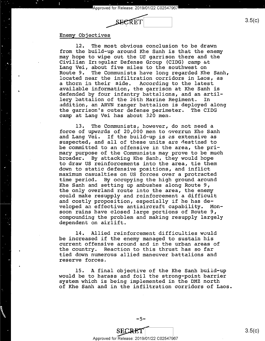

<sup>m</sup> I

### Enemy Objectives Enemy Objectives

12. The most obvious conclusion to be drawn 12. The most obvious conclusion to be drawn from the build-up around Khe Sanh is that the enemy from the build-up around Khe Sanh is that the enemy may hope to wipe out the US garrison there and the may hope to wipe out the US garrison there and the may hope co wrpe our end on garrison enere and energy (Civilian Irregular Defense Group (CIDG) camp at Lang Vei, about five miles to the southwest on Lang Vei, about five miles to the southwest on Route 9. The Communists have long regarded Khe Sanh, Route 9. The Communists have long regarded Khe Sanh, located near the infiltration corridors in Laos, as located near the infiltration corridors in Laos, as a thorn in their side. According to the latest <sup>a</sup> thorn in their' side. .According to the latest available information, the garrison at Khe Sanh is available information, the garrison atKhe Sanh is defended by four infantry battalions, and an artil-defended by four infantry battalions, and an artil lery battalion of the 26th Marine Regiment. In lery battalion of the 26th Marine Regiment. In<br>addition, an ARVN ranger battalion is deployed along the garrison's outer defense perimeter. The CIDG the garrison's outer defense perimeter. The CIDG camp at Lang Vei has about 320 men, camp at Lang Vei has about 320 men. addition, an ARVN ranger battalion is deployed along

13. The Communists, however, do not need a 13. The Communists, however, do not need <sup>a</sup> force of upwards of 20,000 men to overrun Khe Sanh noice of apwards of 20,000 men to butfin hims bann<br>and Lang Vei. If the build-up is as extensive as suspected, and all of these units are rlestined to suspected, and all of these units are destined to be committed to an offensive in the area, the pri-be committed to an offensive in the area, the primary purpose of the Communists may prove to be much mary purpose of the Communists may prove to be much broader. By attacking Khe Sanh, they would hope broader. By attacking Khe Sanh, they would hOpe to draw US reinforcements into the area, tie them to draw US reinforcements into the area, tie them down to static defensive positions, and inflict down to static defensive positions, and inflict maximum casualties on US forces over a protracted maximum casualties on US forces over <sup>a</sup> protracted time period. By occupying the high ground around time period. By OCCUpying the high ground around Khe Sanh and setting up ambushes along Route 9, Khe Sanh and setting up ambushes along Route 9, the onJ.y overland route into the area, the enemy the only overland route into the area, the enemy could make resupply and reinforcement a difficult could make resupply and reinforcement <sup>a</sup> difficult and costly proposition, especially if he has de-and costly proposition, especially if he has developed an effective antiaircraft capability. Mon-veloped an effective antiaircraft capability. Monsoon rains have closed large portions of Route 9, soon rains have closed large portions of Route 9, compounding the problem and making resupply largely compounding the problem and making resupply largely dependent on airlift. dependent on airlift.

14. Allied reinforcement difficulties would 14. Allied reinforcement difficulties would be increased if the enemy managed to sustain his be increased if the enemy managed to sustain his current offensive a.round and in the urban areas of current offensive around and in the urban areas of the country. Reaction to this thrust has so far the country. Reaction.to this thrust has so far tied down numerous allied maneuver battalions and tied down numerous allied maneuver battalions and reserve forces. reserve forces.

15. A final objective of the Khe Sanh build-up 15. A final objective ofthe Khe Sanh build—up would be to harass and foil the strong-point barrier would be to harass and foil the strong-point barrier system which is being implemented in the DMZ north system which is being implemented in the DMZ north of Khe Sanh and in the infiltration corridors of Laos. of Khe Sanh and in the infiltration corridors of Laos.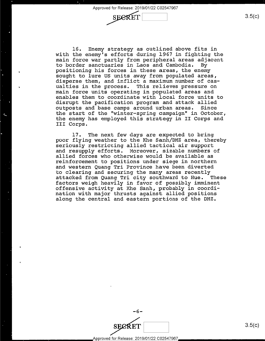SECR

SEGRET

3.5(c)  $3.5(c)$ 

16. Enemy strategy as outlined above fits in 16. Enemy strategy as outlined above fits in with the enemy's efforts during 1967 in fighting the with the enemy's efforts during 1967 in fighting the main force war partly from peripheral areas adjacent main force war partly from peripheral areas adjacent to border sanctuaries in Laos and Cambodia. By to border sanctuaries in Laos and Cambodia. By positioning his forces in these areas, the enemy positioning his forces in these areas, the enemy sought to lure US units away from populated areas, sought to lure US units away from.p0pulated areas, disperse them, and inflict a maximum number of cas-disperse them, and inflict <sup>a</sup> maximum.number of casualties in the process. This relieves pressure on ualties in the process. This relieves pressure on main force units operating in populated areas and main force units operating in populated areas and enables them to coordinate with local force units to enables them to coordinate with local force units to disrupt the pacification program and attack allied disrupt the pacification program and attack allied outposts and base camps around urban areas. Since outposts and base camps around urban areas. Since the start of the "winter-spring campaign" in October, the start of the "winter—spring campaign" in October, the enemy has employed this strategy in II Corps and III **Corps.**  III Corps.

17. The next few days are expected to bring 17. The next few days are expected to bring poor flying weather to the Khe Sanh/DMZ area, thereby poor flying weather to the Khe Sanh/DMZ area, thereby poor in ing wordened to the fair bunn, and area, there is seriously restricting allied tactical air support and resupply efforts. Moreover, sizable numbers of and resupply efforts. Moreover, sizable numbers of allied forces who otherwise would be available as allied forces who otherwise would be available as reinforcement to positions under siege in northern reinforcement to positions under siege in northern and western Quang Tri Province have been diverted and western Quang Tri Province have been diverted to clearing and securing the many areas recently to clearing and securing the many areas recently attacked from Quang Tri city southward to Hue. These attacked from Quang Tri city southward to Hue. These factors weigh heavily in favor of possibly imminent factors weigh heavily in favor of possibly imminent offensive activity at Khe Sanh, probably in coordi-offensive activity at Khe Sanh, probably in coordi nation with major thrusts against allied positions nation with major thrusts against allied positions along the central and eastern portions of the DMZ. along the central and eastern portions of the DMZ.